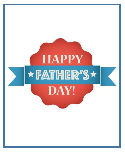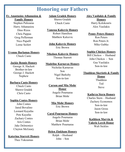# **Honoring our Fathers**

# **Fr. Anastasios Athanasiou & Family Honors**

Stephen Paliouras Harry Athanasiou Dino Rizos Chris Pappas Greg Pefferman Nico Papafil Lorne Seifert

**Yvonne Barlamas Honors**

Chuck Casto

# **Jackie Bennis Honors**

George A. Hackett Brother-in-law George J. Hackett Nephew

# **Barbara Casto Honors**

Chuck Casto Shawn Gradek Chris Casto

# **Sophia Contes Honors**

John Contes Jared Bovalino Leonard Kayafas Pete Kayafas Zachary Contes Aris Contes Jake Delmonico Clayton McGeary

## **Katerina Starrett Honors**

Theo Yakoumas

**Adam Gradek Honors**

Shawn Gradek Chuck Casto

# **Vanessa Kalcevic Honors** Robert Hamilton

Matthew Kalcevic

**John Kalcevic Honors** Eric Brown

**Nikolaos Kalcevic Honors** Thomas Starrett

### **Madeline Karnavas Honors**

Nicholas Karnavas Son Nigel Barksby Son-in-law

# **Carson and Mia Mohr Honor** Angelo Pournaras Brian Mohr

**Mia Mohr Honors** Eric Brown

#### **Carol Pournaras Honors**

Angelo Pournaras Brian Mohr Matthew Pournaras

# **Helen Zinkham Honors**

Ralph - Husband John - Son

# **Alex Vasilakis & Family Honors** Harry Kolokouris

Alex Vasilakis

# **Penny Peters Honors**

Ron Peters Ron Peters Jr. Mike Gubka

## **Sophia Chickos Honors**

Bill Chickos - Husband John Chickos - Son Gus Vasilakis Son-in-law

### **Thaddeus Skeriotis & Family**

**Honor Thaddeus** Ted Steve

# **Kathryn Stern Honors**

Charles Stern – Husband Zachery Economos Son-in-law Jason Gross Son-in-law

# **Kathleen Marvin & Valerie Lerch Honor** Walt Sickles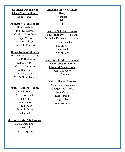# **Angeline Flaskos Honors**

# **Kathleen, Nicholas & Elena Marvin Honor**

Mike Marvin

#### **Paulette Wilson Honors**

Bruce Wilson John D. Wilson Matthew B. Wilson Joseph Wilson John B. Wilson Luther F. Ruckert

### **Raina Kanakis Honors**

Emanuel Kanakis - Dad Alex F. Barlamas Raina's Nono Alex W. Barlamas Will's Nono Dave Urban Will's Grandfather

### **Faith Dickinson Honors**

John Solomich Mike Solomich John Knoll Jason Fedash Billy Fedash Brian Robson Joe Ondrako

# **Joanne Jamis Cain Honors**

John James Cain James Cain Steve Bagiatis

Harry Michael Bill John

# **Andrea Schriver Honors**

Nigel Barksby - Husband Nicholas Karnavas - Brother Norman Barksby Son-in-law Don Noel Son-in-law

# **Virginia Theodore, Victoria Mason, Jordan, Sandy,**

**Olivia, & Sara Honor** 

John Theodore Joe Thomas

# **Katina Flaskos Honors**

Demetrios Daskalakis George Daskalakis Tom Moran Taki Darakos Doug DiSanti John Velisaris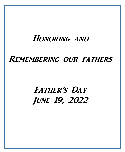# Honoring and

# REMEMBERING OUR FATHERS

# FATHER'S DAY June 19, 2022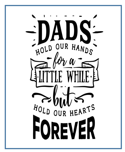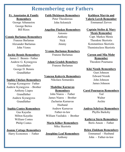# **Remembering our Fathers**

# **Fr. Anastasios & Family Remembers**

George Athanasiou George Bertos Bill Rizos

# **Faith Dickinson Remembers**

Peter Theodorous John Solomich

### **Angeline Flaskos Remembers**

Antonio Anthony Nick Jimmy

**Yvonne Barlamas Remebers** Franzee Barlamas

**Adam Gradek Remebers** Franzee Barlamas

# **Vanessa Kalcevic Remembers** Nikolaos Somarakis

# **Madeline Karnavas Remembers** John Niaros - Father James Niaros - Brother Zacharias Karnavas Husband Andrew Karnavas Father-in-law William Vasilakis - Brother

**Maria Kilker Remembers** Mike Skeriotis

**Josephine Leaf Remembers** Anthony

# **Kathleen Marvin and Valerie Lerch Remember** Emmanuel Zervos

# **Captain Stelios & Mary Menis Remember**

Capt. Markos Menis Theodore Skeriotis Konstantinos Skeriotis Themistocleos Skeriotis

# **Carson and Mia Mohr Remember**

Theodore Pournaras

# **Kiki Niznik Remembers**

Gust Johnson Edward Niznik John Johnson James Johnson

# **Carol Pournaras Remembers**

Ted Walter Archie

**Andrea Schriver Remembers** Phyllis Barksby

**Kathryn Stern Remembers** Boris Anson - Father

# **Helen Zinkham Remembers**

Emmanuel - Husband John - Father-in-law

# **Connie Barlamas Remembers**

Franzee Barlamas Alexander Barlamas John Viores

# **Jackie Bennis Remembers**

James J. Bennis– Father Andrew G. Kyrargyros Grandfather George D. Bennis Grandfather

# **Sophia Chickos Remembers**

George Kyrargyros– Father Andrew Kyrargyros - Brother Anthony Liapes Grandfather Andrew Kyrargyros Grandfather

# **Sophia Contes Remembers** Gus Kayafas

Milton Kayafas William Contes Philip Contes

**Joanne Cottage Remembers** Harry Economos - Father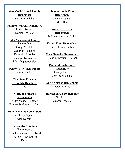**Gus Vasilakis and Family Remember** Sam Z. Vasilakis

### **Paulette Wilson Remembers**

Luther Ruckert Daniel J. Wilson

**Alex Vasilakis & Family Remember** George Vasilakis

Zaharias Vasilakis Demitrios Hronias Panagioti Kolokouris Melis Papadopoulos

**Penny Peters Remembers** James Boudros

> **Thaddeus Skeriotis & Family Rmember** Kosta

**Marianne Stearns Remembers** Mike Manos - Father

Franzee Barlamas - Nono

### **Raina Kanakis Remembers**

Anthony Pagonis Nick Kanakis

**Alexandra Gaitanis Remembers** Nick J. Gaitanis - Husband Andrew G. Kyrargyros Father

**Joanne Jamis Cain Remembers** Michael Jamis Murl Barr

**Andrea Schriver Remembers** Jack Karnvavas - Father

**Katina Eliou Remembers** James Eliou- Father

**Mary Sezenias Remembers** Nicholas Kyrazi - Father

**Paul and Barb Harris Remember** George Harris Jeff Brockelbank

**Argie Neforos Remembers** Peter Neforos

#### **Harriet Hatzis Remembers** Gus Hatzis

George Tsacalis